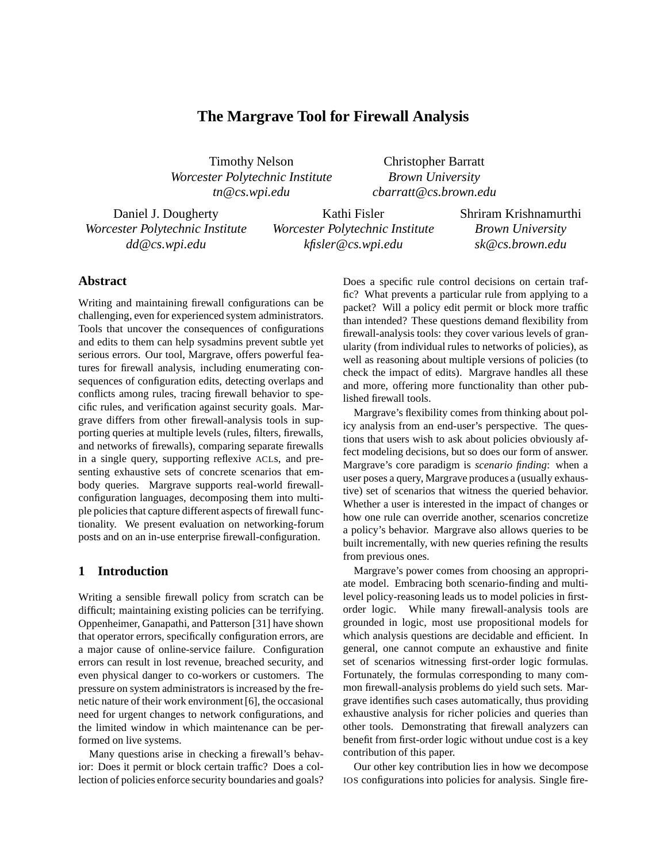# **The Margrave Tool for Firewall Analysis**

Timothy Nelson *Worcester Polytechnic Institute tn@cs.wpi.edu*

Christopher Barratt *Brown University cbarratt@cs.brown.edu*

Daniel J. Dougherty *Worcester Polytechnic Institute dd@cs.wpi.edu*

Kathi Fisler *Worcester Polytechnic Institute kfisler@cs.wpi.edu*

Shriram Krishnamurthi *Brown University sk@cs.brown.edu*

### **Abstract**

Writing and maintaining firewall configurations can be challenging, even for experienced system administrators. Tools that uncover the consequences of configurations and edits to them can help sysadmins prevent subtle yet serious errors. Our tool, Margrave, offers powerful features for firewall analysis, including enumerating consequences of configuration edits, detecting overlaps and conflicts among rules, tracing firewall behavior to specific rules, and verification against security goals. Margrave differs from other firewall-analysis tools in supporting queries at multiple levels (rules, filters, firewalls, and networks of firewalls), comparing separate firewalls in a single query, supporting reflexive ACLs, and presenting exhaustive sets of concrete scenarios that embody queries. Margrave supports real-world firewallconfiguration languages, decomposing them into multiple policies that capture different aspects of firewall functionality. We present evaluation on networking-forum posts and on an in-use enterprise firewall-configuration.

### **1 Introduction**

Writing a sensible firewall policy from scratch can be difficult; maintaining existing policies can be terrifying. Oppenheimer, Ganapathi, and Patterson [31] have shown that operator errors, specifically configuration errors, are a major cause of online-service failure. Configuration errors can result in lost revenue, breached security, and even physical danger to co-workers or customers. The pressure on system administrators is increased by the frenetic nature of their work environment [6], the occasional need for urgent changes to network configurations, and the limited window in which maintenance can be performed on live systems.

Many questions arise in checking a firewall's behavior: Does it permit or block certain traffic? Does a collection of policies enforce security boundaries and goals? Does a specific rule control decisions on certain traffic? What prevents a particular rule from applying to a packet? Will a policy edit permit or block more traffic than intended? These questions demand flexibility from firewall-analysis tools: they cover various levels of granularity (from individual rules to networks of policies), as well as reasoning about multiple versions of policies (to check the impact of edits). Margrave handles all these and more, offering more functionality than other published firewall tools.

Margrave's flexibility comes from thinking about policy analysis from an end-user's perspective. The questions that users wish to ask about policies obviously affect modeling decisions, but so does our form of answer. Margrave's core paradigm is *scenario finding*: when a user poses a query, Margrave produces a (usually exhaustive) set of scenarios that witness the queried behavior. Whether a user is interested in the impact of changes or how one rule can override another, scenarios concretize a policy's behavior. Margrave also allows queries to be built incrementally, with new queries refining the results from previous ones.

Margrave's power comes from choosing an appropriate model. Embracing both scenario-finding and multilevel policy-reasoning leads us to model policies in firstorder logic. While many firewall-analysis tools are grounded in logic, most use propositional models for which analysis questions are decidable and efficient. In general, one cannot compute an exhaustive and finite set of scenarios witnessing first-order logic formulas. Fortunately, the formulas corresponding to many common firewall-analysis problems do yield such sets. Margrave identifies such cases automatically, thus providing exhaustive analysis for richer policies and queries than other tools. Demonstrating that firewall analyzers can benefit from first-order logic without undue cost is a key contribution of this paper.

Our other key contribution lies in how we decompose IOS configurations into policies for analysis. Single fire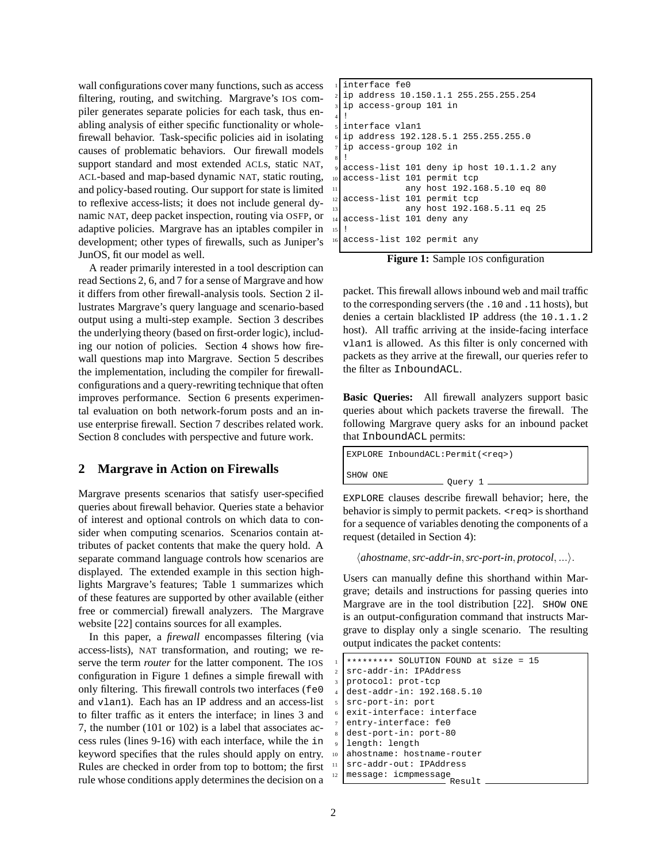wall configurations cover many functions, such as access filtering, routing, and switching. Margrave's IOS compiler generates separate policies for each task, thus enabling analysis of either specific functionality or wholefirewall behavior. Task-specific policies aid in isolating causes of problematic behaviors. Our firewall models support standard and most extended ACLs, static NAT, ACL-based and map-based dynamic NAT, static routing, and policy-based routing. Our support for state is limited to reflexive access-lists; it does not include general dynamic NAT, deep packet inspection, routing via OSFP, or adaptive policies. Margrave has an iptables compiler in development; other types of firewalls, such as Juniper's JunOS, fit our model as well.

A reader primarily interested in a tool description can read Sections 2, 6, and 7 for a sense of Margrave and how it differs from other firewall-analysis tools. Section 2 illustrates Margrave's query language and scenario-based output using a multi-step example. Section 3 describes the underlying theory (based on first-order logic), including our notion of policies. Section 4 shows how firewall questions map into Margrave. Section 5 describes the implementation, including the compiler for firewallconfigurations and a query-rewriting technique that often improves performance. Section 6 presents experimental evaluation on both network-forum posts and an inuse enterprise firewall. Section 7 describes related work. Section 8 concludes with perspective and future work.

### **2 Margrave in Action on Firewalls**

Margrave presents scenarios that satisfy user-specified queries about firewall behavior. Queries state a behavior of interest and optional controls on which data to consider when computing scenarios. Scenarios contain attributes of packet contents that make the query hold. A separate command language controls how scenarios are displayed. The extended example in this section highlights Margrave's features; Table 1 summarizes which of these features are supported by other available (either free or commercial) firewall analyzers. The Margrave website [22] contains sources for all examples.

In this paper, a *firewall* encompasses filtering (via access-lists), NAT transformation, and routing; we reserve the term *router* for the latter component. The IOS configuration in Figure 1 defines a simple firewall with only filtering. This firewall controls two interfaces (fe0 and vlan1). Each has an IP address and an access-list to filter traffic as it enters the interface; in lines 3 and 7, the number (101 or 102) is a label that associates access rules (lines 9-16) with each interface, while the in keyword specifies that the rules should apply on entry. Rules are checked in order from top to bottom; the first rule whose conditions apply determines the decision on a

```
interface fe0
 2 ip address 10.150.1.1 255.255.255.254
 ip access-group 101 in
4 !
 interface vlan1
 6 ip address 192.128.5.1 255.255.255.0
 ip access-group 102 in
8 !
 access-list 101 deny ip host 10.1.1.2 any
 access-list 101 permit tcp
              any host 192.168.5.10 eq 80
 access-list 101 permit tcp
              13 any host 192.168.5.11 eq 25
 access-list 101 deny any
15 !
 access-list 102 permit any
```
**Figure 1:** Sample IOS configuration

packet. This firewall allows inbound web and mail traffic to the corresponding servers (the .10 and .11 hosts), but denies a certain blacklisted IP address (the 10.1.1.2 host). All traffic arriving at the inside-facing interface vlan1 is allowed. As this filter is only concerned with packets as they arrive at the firewall, our queries refer to the filter as InboundACL.

**Basic Queries:** All firewall analyzers support basic queries about which packets traverse the firewall. The following Margrave query asks for an inbound packet that InboundACL permits:

| EXPLORE InboundACL: Permit ( <req>)</req> |
|-------------------------------------------|
| SHOW ONE<br>_ Ouery 1 ____                |

EXPLORE clauses describe firewall behavior; here, the behavior is simply to permit packets.  $\langle$ req> is shorthand for a sequence of variables denoting the components of a request (detailed in Section 4):

 $\langle$ *ahostname*,*src-addr-in*, *src-port-in*, *protocol*, ... $\rangle$ .

Users can manually define this shorthand within Margrave; details and instructions for passing queries into Margrave are in the tool distribution [22]. SHOW ONE is an output-configuration command that instructs Margrave to display only a single scenario. The resulting output indicates the packet contents:

|                          | ********* SOLUTION FOUND at size = 15 |
|--------------------------|---------------------------------------|
| $\mathfrak{D}$           | src-addr-in: IPAddress                |
| $\overline{\mathbf{3}}$  | protocol: prot-tcp                    |
| $\overline{4}$           | dest-addr-in: 192.168.5.10            |
| $\overline{\phantom{0}}$ | src-port-in: port                     |
| 6                        | exit-interface: interface             |
| $\tau$                   | entry-interface: fe0                  |
| $\boldsymbol{8}$         | dest-port-in: port-80                 |
| $\mathbf{Q}$             | length: length                        |
| 10                       | ahostname: hostname-router            |
| 11                       | src-addr-out: IPAddress               |
| 12                       | message: icmpmessage<br>Result        |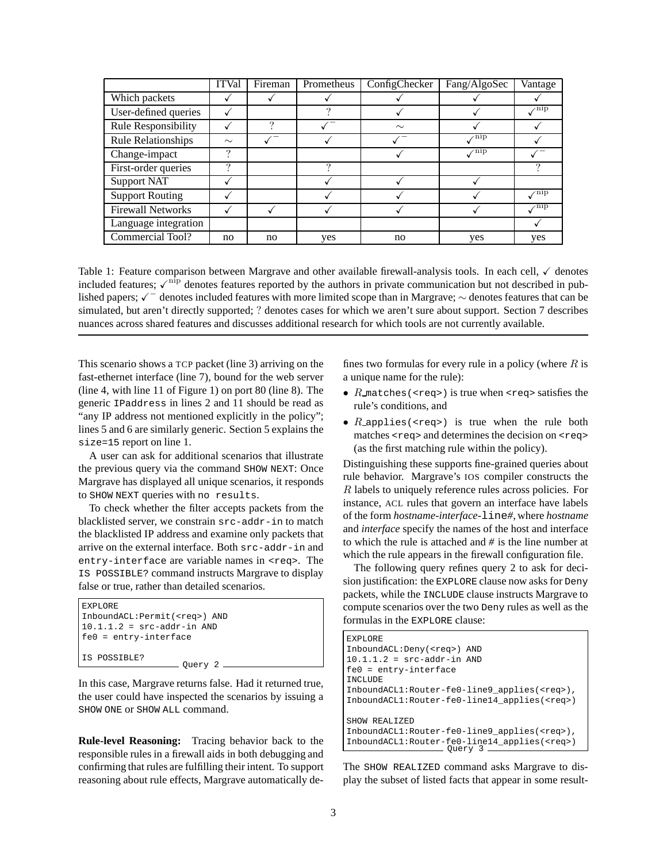|                           | <b>ITVal</b> | Fireman | Prometheus | ConfigChecker | Fang/AlgoSec               | Vantage                     |
|---------------------------|--------------|---------|------------|---------------|----------------------------|-----------------------------|
| Which packets             |              |         |            |               |                            |                             |
| User-defined queries      |              |         | ച          |               |                            | $\checkmark$ <sup>nip</sup> |
| Rule Responsibility       |              | 9       |            | $\sim$        |                            |                             |
| <b>Rule Relationships</b> | $\sim$       |         |            |               | $\angle$ <sup>nip</sup>    |                             |
| Change-impact             | ?            |         |            |               | $\mathcal{N}^{\text{nip}}$ |                             |
| First-order queries       | ?            |         | റ          |               |                            |                             |
| <b>Support NAT</b>        |              |         |            |               |                            |                             |
| <b>Support Routing</b>    |              |         |            |               |                            | $\sqrt{np}$                 |
| <b>Firewall Networks</b>  |              |         |            |               |                            | $\mathcal{N}^{\rm{nip}}$    |
| Language integration      |              |         |            |               |                            |                             |
| Commercial Tool?          | no           | no      | yes        | no            | yes                        | yes                         |

Table 1: Feature comparison between Margrave and other available firewall-analysis tools. In each cell,  $\checkmark$  denotes included features;  $\sqrt{\eta}$  denotes features reported by the authors in private communication but not described in published papers;  $\sqrt{\phantom{a}}$  denotes included features with more limited scope than in Margrave;  $\sim$  denotes features that can be simulated, but aren't directly supported; ? denotes cases for which we aren't sure about support. Section 7 describes nuances across shared features and discusses additional research for which tools are not currently available.

This scenario shows a TCP packet (line 3) arriving on the fast-ethernet interface (line 7), bound for the web server (line 4, with line 11 of Figure 1) on port 80 (line 8). The generic IPaddress in lines 2 and 11 should be read as "any IP address not mentioned explicitly in the policy"; lines 5 and 6 are similarly generic. Section 5 explains the size=15 report on line 1.

A user can ask for additional scenarios that illustrate the previous query via the command SHOW NEXT: Once Margrave has displayed all unique scenarios, it responds to SHOW NEXT queries with no results.

To check whether the filter accepts packets from the blacklisted server, we constrain src-addr-in to match the blacklisted IP address and examine only packets that arrive on the external interface. Both src-addr-in and entry-interface are variable names in <req>. The IS POSSIBLE? command instructs Margrave to display false or true, rather than detailed scenarios.

| <b>EXPLORE</b>                        |
|---------------------------------------|
| InboundACL: Permit ( <req>) AND</req> |
| $ 10.1.1.2 $ = $src$ -addr-in AND     |
| fe0 = entry-interface                 |
|                                       |
| IIS POSSIBLE?                         |
| Ouery $2 \equiv$                      |

In this case, Margrave returns false. Had it returned true, the user could have inspected the scenarios by issuing a SHOW ONE or SHOW ALL command.

**Rule-level Reasoning:** Tracing behavior back to the responsible rules in a firewall aids in both debugging and confirming that rules are fulfilling their intent. To support reasoning about rule effects, Margrave automatically defines two formulas for every rule in a policy (where  $R$  is a unique name for the rule):

- $R$  matches (<req>) is true when <req> satisfies the rule's conditions, and
- $R$  applies(<req>) is true when the rule both matches <req> and determines the decision on <req> (as the first matching rule within the policy).

Distinguishing these supports fine-grained queries about rule behavior. Margrave's IOS compiler constructs the R labels to uniquely reference rules across policies. For instance, ACL rules that govern an interface have labels of the form *hostname-interface-*line*#*, where *hostname* and *interface* specify the names of the host and interface to which the rule is attached and *#* is the line number at which the rule appears in the firewall configuration file.

The following query refines query 2 to ask for decision justification: the EXPLORE clause now asks for Deny packets, while the INCLUDE clause instructs Margrave to compute scenarios over the two Deny rules as well as the formulas in the EXPLORE clause:

| <b>EXPLORE</b>                                      |
|-----------------------------------------------------|
| InboundACL: Deny ( <req>) AND</req>                 |
| $10.1.1.2$ = $src-addr-in AND$                      |
| $fe0 = entry-intertace$                             |
| INCLUDE                                             |
| InboundACL1:Router-fe0-line9_applies( <req>),</req> |
| InboundACL1:Router-fe0-line14 applies( <req>)</req> |
|                                                     |
| SHOW REALIZED                                       |
| InboundACL1:Router-fe0-line9 applies( <req>),</req> |
| InboundACL1:Router-fe0-line14 applies( <req>)</req> |
| Ouery 3                                             |

The SHOW REALIZED command asks Margrave to display the subset of listed facts that appear in some result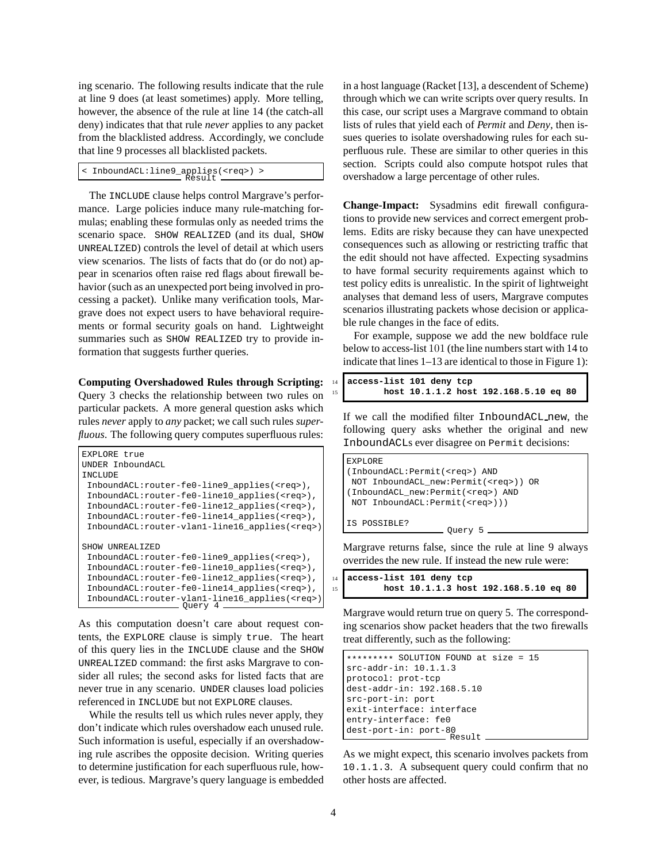ing scenario. The following results indicate that the rule at line 9 does (at least sometimes) apply. More telling, however, the absence of the rule at line 14 (the catch-all deny) indicates that that rule *never* applies to any packet from the blacklisted address. Accordingly, we conclude that line 9 processes all blacklisted packets.

< InboundACL:line9\_applies(<req>) > Result

The INCLUDE clause helps control Margrave's performance. Large policies induce many rule-matching formulas; enabling these formulas only as needed trims the scenario space. SHOW REALIZED (and its dual, SHOW UNREALIZED) controls the level of detail at which users view scenarios. The lists of facts that do (or do not) appear in scenarios often raise red flags about firewall behavior (such as an unexpected port being involved in processing a packet). Unlike many verification tools, Margrave does not expect users to have behavioral requirements or formal security goals on hand. Lightweight summaries such as SHOW REALIZED try to provide information that suggests further queries.

**Computing Overshadowed Rules through Scripting:** Query 3 checks the relationship between two rules on particular packets. A more general question asks which rules *never* apply to *any* packet; we call such rules *superfluous*. The following query computes superfluous rules:

```
EXPLORE true
UNDER InboundACL
INCLUDE
InboundACL:router-fe0-line9_applies(<req>),
InboundACL:router-fe0-line10_applies(<req>),
InboundACL:router-fe0-line12_applies(<req>),
InboundACL:router-fe0-line14_applies(<req>),
InboundACL:router-vlan1-line16_applies(<req>)
SHOW UNREALIZED
InboundACL:router-fe0-line9_applies(<req>),
InboundACL:router-fe0-line10_applies(<req>),
InboundACL:router-fe0-line12_applies(<req>),
InboundACL:router-fe0-line14_applies(<req>),
 InboundACL:router-vlan1-line16_applies(<req>)
Query 4
```
As this computation doesn't care about request contents, the EXPLORE clause is simply true. The heart of this query lies in the INCLUDE clause and the SHOW UNREALIZED command: the first asks Margrave to consider all rules; the second asks for listed facts that are never true in any scenario. UNDER clauses load policies referenced in INCLUDE but not EXPLORE clauses.

While the results tell us which rules never apply, they don't indicate which rules overshadow each unused rule. Such information is useful, especially if an overshadowing rule ascribes the opposite decision. Writing queries to determine justification for each superfluous rule, however, is tedious. Margrave's query language is embedded in a host language (Racket [13], a descendent of Scheme) through which we can write scripts over query results. In this case, our script uses a Margrave command to obtain lists of rules that yield each of *Permit* and *Deny*, then issues queries to isolate overshadowing rules for each superfluous rule. These are similar to other queries in this section. Scripts could also compute hotspot rules that overshadow a large percentage of other rules.

**Change-Impact:** Sysadmins edit firewall configurations to provide new services and correct emergent problems. Edits are risky because they can have unexpected consequences such as allowing or restricting traffic that the edit should not have affected. Expecting sysadmins to have formal security requirements against which to test policy edits is unrealistic. In the spirit of lightweight analyses that demand less of users, Margrave computes scenarios illustrating packets whose decision or applicable rule changes in the face of edits.

For example, suppose we add the new boldface rule below to access-list 101 (the line numbers start with 14 to indicate that lines 1–13 are identical to those in Figure 1):

|    | 14 access-list 101 deny tcp           |  |
|----|---------------------------------------|--|
| 15 | host 10.1.1.2 host 192.168.5.10 eq 80 |  |

If we call the modified filter InboundACL new, the following query asks whether the original and new InboundACLs ever disagree on Permit decisions:

| EXPLORE                                     |
|---------------------------------------------|
| (InboundACL: Permit ( <req>) AND</req>      |
| NOT InboundACL_new:Permit( <req>)) OR</req> |
| (InboundACL new: Permit ( <req>) AND</req>  |
| NOT InboundACL: Permit( <req>)))</req>      |
|                                             |
| IS POSSIBLE?                                |
| Ouery 5                                     |

Margrave returns false, since the rule at line 9 always overrides the new rule. If instead the new rule were:

|    | 14 access-list 101 deny tcp |  |                                       |
|----|-----------------------------|--|---------------------------------------|
| 15 |                             |  | host 10.1.1.3 host 192.168.5.10 eq 80 |

Margrave would return true on query 5. The corresponding scenarios show packet headers that the two firewalls treat differently, such as the following:

```
********* SOLUTION FOUND at size = 15
src-addr-in: 10.1.1.3
protocol: prot-tcp
dest-addr-in: 192.168.5.10
src-port-in: port
exit-interface: interface
entry-interface: fe0
dest-port-in: port-80
                    Result
```
As we might expect, this scenario involves packets from 10.1.1.3. A subsequent query could confirm that no other hosts are affected.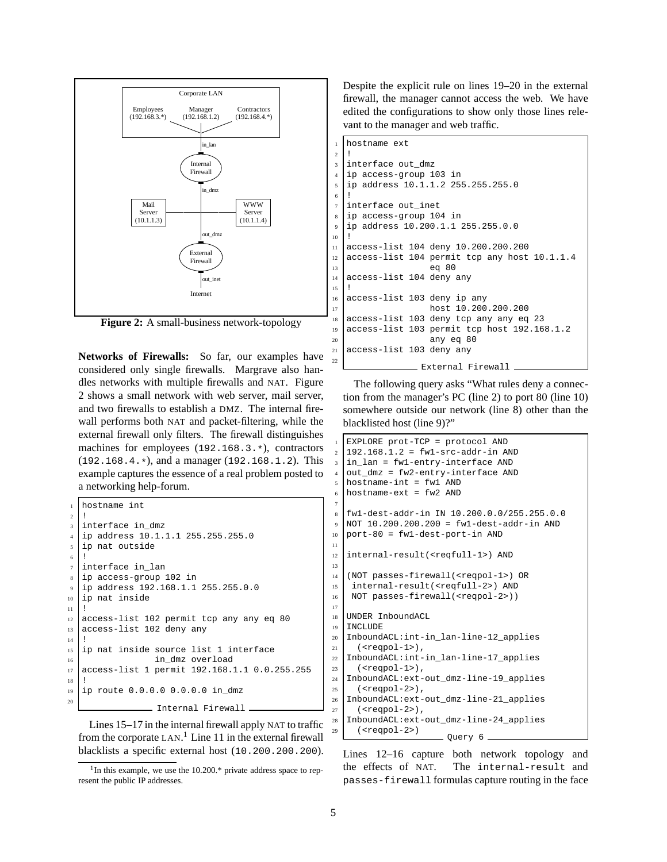

**Figure 2:** A small-business network-topology

**Networks of Firewalls:** So far, our examples have considered only single firewalls. Margrave also handles networks with multiple firewalls and NAT. Figure 2 shows a small network with web server, mail server, and two firewalls to establish a DMZ. The internal firewall performs both NAT and packet-filtering, while the external firewall only filters. The firewall distinguishes machines for employees (192.168.3.\*), contractors (192.168.4.\*), and a manager (192.168.1.2). This example captures the essence of a real problem posted to a networking help-forum.

```
hostname int
2 !
3 interface in_dmz
4 ip address 10.1.1.1 255.255.255.0
5 ip nat outside
6 !
  interface in_lan
  ip access-group 102 in
9 ip address 192.168.1.1 255.255.0.0
10 ip nat inside
11 !
12 access-list 102 permit tcp any any eq 80
13 access-list 102 deny any
14
15 ip nat inside source list 1 interface
16 in_dmz overload
17 access-list 1 permit 192.168.1.1 0.0.255.255
18 !
_{19} ip route 0.0.0.0 0.0.0.0 in dmz
20
               - Internal Firewall
```
Lines 15–17 in the internal firewall apply NAT to traffic from the corporate LAN.<sup>1</sup> Line 11 in the external firewall blacklists a specific external host (10.200.200.200).

Despite the explicit rule on lines 19–20 in the external firewall, the manager cannot access the web. We have edited the configurations to show only those lines relevant to the manager and web traffic.

```
1 hostname ext
3 interface out dmz
4 ip access-group 103 in
5 ip address 10.1.1.2 255.255.255.0
7 interface out_inet
8 ip access-group 104 in
9 ip address 10.200.1.1 255.255.0.0
10 !
11 access-list 104 deny 10.200.200.200
12 access-list 104 permit tcp any host 10.1.1.4
13 eq 80
14 access-list 104 deny any
15 !
16 access-list 103 deny ip any
17 host 10.200.200.200
18 access-list 103 deny tcp any any eq 23
19 access-list 103 permit tcp host 192.168.1.2
20 any eq 80
  access-list 103 deny any
22
               External Firewall
```
The following query asks "What rules deny a connection from the manager's PC (line 2) to port 80 (line 10) somewhere outside our network (line 8) other than the blacklisted host (line 9)?"

```
EXPLORE prot-TCP = protocol AND
   192.168.1.2 = \text{fwl}-\text{src}-\text{addr}-\text{in AND}in_lan = fw1-entry-interface AND
   out_dmz = fw2-entry-interface AND
   5 hostname-int = fw1 AND
   6 hostname-ext = fw2 AND
   8 fw1-dest-addr-in IN 10.200.0.0/255.255.0.0
9 \text{ NOT } 10.200.200.200 = \text{fw1-dest-addr-in AND}10 port-80 = fw1-dest-port-in AND
12 internal-result(<reqfull-1>) AND
14 (NOT passes-firewall(<reqpol-1>) OR
15 internal-result(<reqfull-2>) AND
16 NOT passes-firewall(<reqpol-2>))
18 UNDER InboundACL
19 INCLUDE
20 InboundACL:int-in_lan-line-12_applies
21 (<reqpol-1>),
22 InboundACL:int-in_lan-line-17_applies
23 (<reqpol-1>),
24 InboundACL:ext-out_dmz-line-19_applies
25 (<reqpol-2>)
26 InboundACL:ext-out_dmz-line-21_applies
27 (\epsilonregpol-2>).
   28 InboundACL:ext-out_dmz-line-24_applies
     (xeqpol-2)Query 6
```
Lines 12–16 capture both network topology and the effects of NAT. The internal-result and passes-firewall formulas capture routing in the face

<sup>2</sup>

<sup>6</sup> !

7

11

13

17

<sup>&</sup>lt;sup>1</sup>In this example, we use the 10.200.\* private address space to represent the public IP addresses.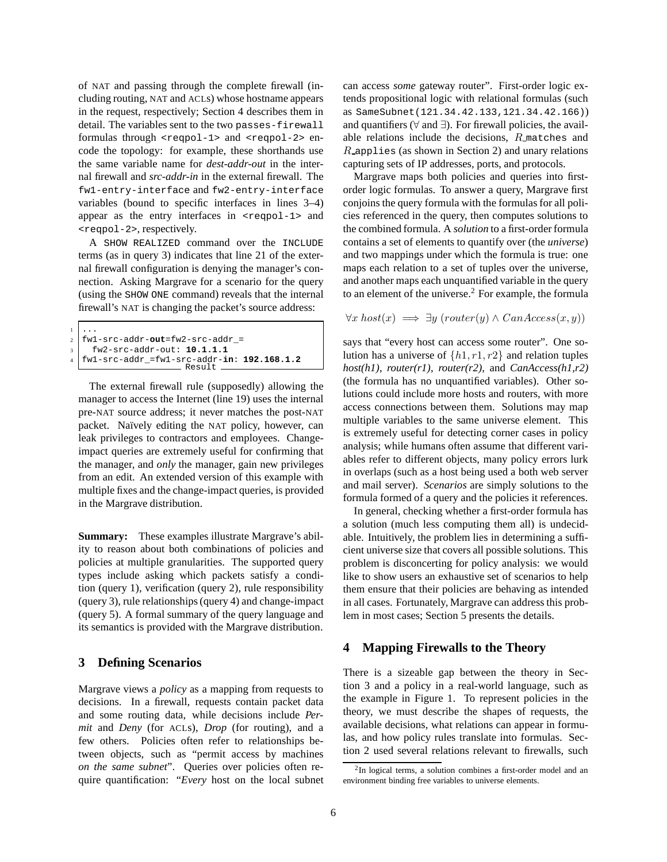of NAT and passing through the complete firewall (including routing, NAT and ACLs) whose hostname appears in the request, respectively; Section 4 describes them in detail. The variables sent to the two passes-firewall formulas through <reqpol-1> and <reqpol-2> encode the topology: for example, these shorthands use the same variable name for *dest-addr-out* in the internal firewall and *src-addr-in* in the external firewall. The fw1-entry-interface and fw2-entry-interface variables (bound to specific interfaces in lines 3–4) appear as the entry interfaces in <reepol-1> and <reqpol-2>, respectively.

A SHOW REALIZED command over the INCLUDE terms (as in query 3) indicates that line 21 of the external firewall configuration is denying the manager's connection. Asking Margrave for a scenario for the query (using the SHOW ONE command) reveals that the internal firewall's NAT is changing the packet's source address:

```
. . .
2 fw1-src-addr-out=fw2-src-addr_=
    3 fw2-src-addr-out: 10.1.1.1
  4 fw1-src-addr_=fw1-src-addr-in: 192.168.1.2
                      Result
```
The external firewall rule (supposedly) allowing the manager to access the Internet (line 19) uses the internal pre-NAT source address; it never matches the post-NAT packet. Naïvely editing the NAT policy, however, can leak privileges to contractors and employees. Changeimpact queries are extremely useful for confirming that the manager, and *only* the manager, gain new privileges from an edit. An extended version of this example with multiple fixes and the change-impact queries, is provided in the Margrave distribution.

**Summary:** These examples illustrate Margrave's ability to reason about both combinations of policies and policies at multiple granularities. The supported query types include asking which packets satisfy a condition (query 1), verification (query 2), rule responsibility (query 3), rule relationships (query 4) and change-impact (query 5). A formal summary of the query language and its semantics is provided with the Margrave distribution.

### **3 Defining Scenarios**

Margrave views a *policy* as a mapping from requests to decisions. In a firewall, requests contain packet data and some routing data, while decisions include *Permit* and *Deny* (for ACLs), *Drop* (for routing), and a few others. Policies often refer to relationships between objects, such as "permit access by machines *on the same subnet*". Queries over policies often require quantification: "*Every* host on the local subnet can access *some* gateway router". First-order logic extends propositional logic with relational formulas (such as SameSubnet(121.34.42.133,121.34.42.166)) and quantifiers ( $\forall$  and  $\exists$ ). For firewall policies, the available relations include the decisions, R matches and  $R$ -applies (as shown in Section 2) and unary relations capturing sets of IP addresses, ports, and protocols.

Margrave maps both policies and queries into firstorder logic formulas. To answer a query, Margrave first conjoins the query formula with the formulas for all policies referenced in the query, then computes solutions to the combined formula. A *solution* to a first-order formula contains a set of elements to quantify over (the *universe*) and two mappings under which the formula is true: one maps each relation to a set of tuples over the universe, and another maps each unquantified variable in the query to an element of the universe. $<sup>2</sup>$  For example, the formula</sup>

 $\forall x \; host(x) \implies \exists y \; (router(y) \land CanAccess(x, y))$ 

says that "every host can access some router". One solution has a universe of  $\{h1, r1, r2\}$  and relation tuples *host(h1)*, *router(r1)*, *router(r2)*, and *CanAccess(h1,r2)* (the formula has no unquantified variables). Other solutions could include more hosts and routers, with more access connections between them. Solutions may map multiple variables to the same universe element. This is extremely useful for detecting corner cases in policy analysis; while humans often assume that different variables refer to different objects, many policy errors lurk in overlaps (such as a host being used a both web server and mail server). *Scenarios* are simply solutions to the formula formed of a query and the policies it references.

In general, checking whether a first-order formula has a solution (much less computing them all) is undecidable. Intuitively, the problem lies in determining a sufficient universe size that covers all possible solutions. This problem is disconcerting for policy analysis: we would like to show users an exhaustive set of scenarios to help them ensure that their policies are behaving as intended in all cases. Fortunately, Margrave can address this problem in most cases; Section 5 presents the details.

## **4 Mapping Firewalls to the Theory**

There is a sizeable gap between the theory in Section 3 and a policy in a real-world language, such as the example in Figure 1. To represent policies in the theory, we must describe the shapes of requests, the available decisions, what relations can appear in formulas, and how policy rules translate into formulas. Section 2 used several relations relevant to firewalls, such

<sup>&</sup>lt;sup>2</sup>In logical terms, a solution combines a first-order model and an environment binding free variables to universe elements.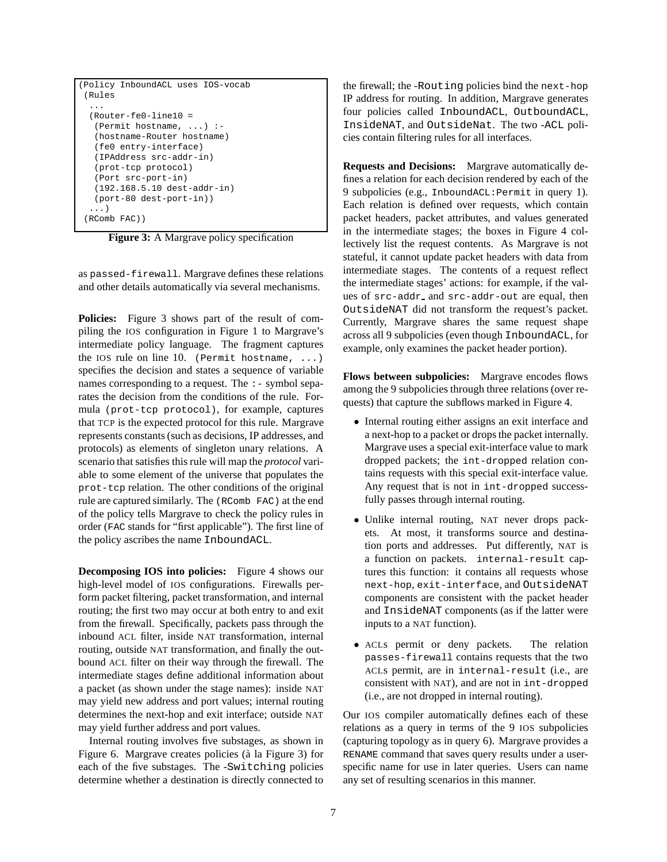```
(Policy InboundACL uses IOS-vocab
(Rules
 ...
 (Router-fe0-line10 =
  (Permit hostname, ...) :-
  (hostname-Router hostname)
  (fe0 entry-interface)
  (IPAddress src-addr-in)
  (prot-tcp protocol)
  (Port src-port-in)
  (192.168.5.10 dest-addr-in)
  (port-80 dest-port-in))
  ...)
(RComb FAC))
```
Figure 3: A Margrave policy specification

as passed-firewall. Margrave defines these relations and other details automatically via several mechanisms.

**Policies:** Figure 3 shows part of the result of compiling the IOS configuration in Figure 1 to Margrave's intermediate policy language. The fragment captures the IOS rule on line 10. (Permit hostname,  $\dots$ ) specifies the decision and states a sequence of variable names corresponding to a request. The :- symbol separates the decision from the conditions of the rule. Formula (prot-tcp protocol), for example, captures that TCP is the expected protocol for this rule. Margrave represents constants (such as decisions, IP addresses, and protocols) as elements of singleton unary relations. A scenario that satisfies this rule will map the *protocol* variable to some element of the universe that populates the prot-tcp relation. The other conditions of the original rule are captured similarly. The (RComb FAC) at the end of the policy tells Margrave to check the policy rules in order (FAC stands for "first applicable"). The first line of the policy ascribes the name InboundACL.

**Decomposing IOS into policies:** Figure 4 shows our high-level model of IOS configurations. Firewalls perform packet filtering, packet transformation, and internal routing; the first two may occur at both entry to and exit from the firewall. Specifically, packets pass through the inbound ACL filter, inside NAT transformation, internal routing, outside NAT transformation, and finally the outbound ACL filter on their way through the firewall. The intermediate stages define additional information about a packet (as shown under the stage names): inside NAT may yield new address and port values; internal routing determines the next-hop and exit interface; outside NAT may yield further address and port values.

Internal routing involves five substages, as shown in Figure 6. Margrave creates policies (à la Figure 3) for each of the five substages. The -Switching policies determine whether a destination is directly connected to

the firewall; the -Routing policies bind the next-hop IP address for routing. In addition, Margrave generates four policies called InboundACL, OutboundACL, InsideNAT, and OutsideNat. The two -ACL policies contain filtering rules for all interfaces.

**Requests and Decisions:** Margrave automatically defines a relation for each decision rendered by each of the 9 subpolicies (e.g., InboundACL:Permit in query 1). Each relation is defined over requests, which contain packet headers, packet attributes, and values generated in the intermediate stages; the boxes in Figure 4 collectively list the request contents. As Margrave is not stateful, it cannot update packet headers with data from intermediate stages. The contents of a request reflect the intermediate stages' actions: for example, if the values of src-addr and src-addr-out are equal, then OutsideNAT did not transform the request's packet. Currently, Margrave shares the same request shape across all 9 subpolicies (even though InboundACL, for example, only examines the packet header portion).

**Flows between subpolicies:** Margrave encodes flows among the 9 subpolicies through three relations (over requests) that capture the subflows marked in Figure 4.

- Internal routing either assigns an exit interface and a next-hop to a packet or drops the packet internally. Margrave uses a special exit-interface value to mark dropped packets; the int-dropped relation contains requests with this special exit-interface value. Any request that is not in int-dropped successfully passes through internal routing.
- Unlike internal routing, NAT never drops packets. At most, it transforms source and destination ports and addresses. Put differently, NAT is a function on packets. internal-result captures this function: it contains all requests whose next-hop, exit-interface, and OutsideNAT components are consistent with the packet header and InsideNAT components (as if the latter were inputs to a NAT function).
- ACLs permit or deny packets. The relation passes-firewall contains requests that the two ACLs permit, are in internal-result (i.e., are consistent with NAT), and are not in int-dropped (i.e., are not dropped in internal routing).

Our IOS compiler automatically defines each of these relations as a query in terms of the 9 IOS subpolicies (capturing topology as in query 6). Margrave provides a RENAME command that saves query results under a userspecific name for use in later queries. Users can name any set of resulting scenarios in this manner.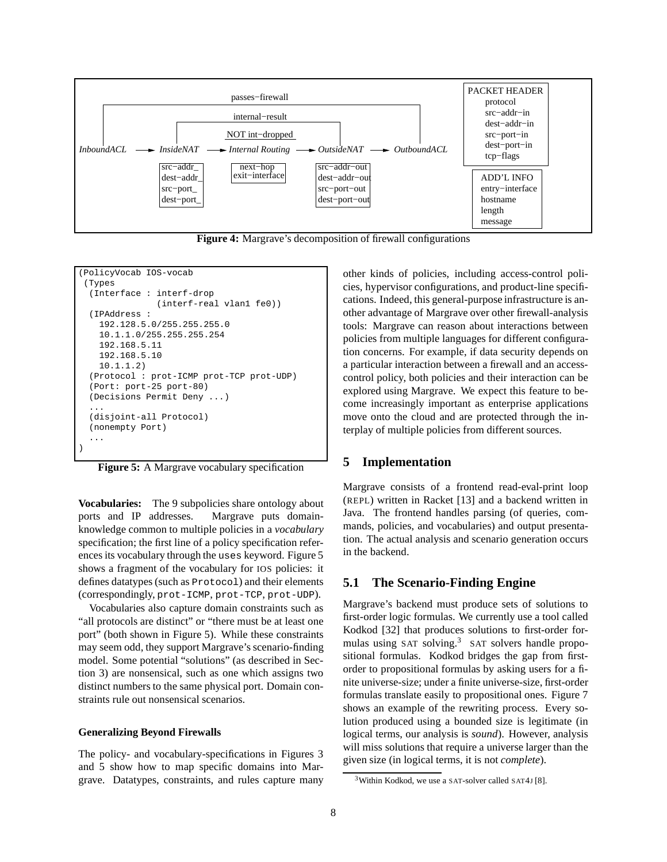

**Figure 4:** Margrave's decomposition of firewall configurations

```
(PolicyVocab IOS-vocab
(Types
 (Interface : interf-drop
               (interf-real vlan1 fe0))
 (IPAddress :
   192.128.5.0/255.255.255.0
   10.1.1.0/255.255.255.254
   192.168.5.11
   192.168.5.10
   10.1.1.2)
 (Protocol : prot-ICMP prot-TCP prot-UDP)
 (Port: port-25 port-80)
 (Decisions Permit Deny ...)
  ...
 (disjoint-all Protocol)
 (nonempty Port)
  ...
)
```
**Figure 5:** A Margrave vocabulary specification

**Vocabularies:** The 9 subpolicies share ontology about ports and IP addresses. Margrave puts domainknowledge common to multiple policies in a *vocabulary* specification; the first line of a policy specification references its vocabulary through the uses keyword. Figure 5 shows a fragment of the vocabulary for IOS policies: it defines datatypes (such as Protocol) and their elements (correspondingly, prot-ICMP, prot-TCP, prot-UDP).

Vocabularies also capture domain constraints such as "all protocols are distinct" or "there must be at least one port" (both shown in Figure 5). While these constraints may seem odd, they support Margrave's scenario-finding model. Some potential "solutions" (as described in Section 3) are nonsensical, such as one which assigns two distinct numbers to the same physical port. Domain constraints rule out nonsensical scenarios.

#### **Generalizing Beyond Firewalls**

The policy- and vocabulary-specifications in Figures 3 and 5 show how to map specific domains into Margrave. Datatypes, constraints, and rules capture many other kinds of policies, including access-control policies, hypervisor configurations, and product-line specifications. Indeed, this general-purpose infrastructure is another advantage of Margrave over other firewall-analysis tools: Margrave can reason about interactions between policies from multiple languages for different configuration concerns. For example, if data security depends on a particular interaction between a firewall and an accesscontrol policy, both policies and their interaction can be explored using Margrave. We expect this feature to become increasingly important as enterprise applications move onto the cloud and are protected through the interplay of multiple policies from different sources.

### **5 Implementation**

Margrave consists of a frontend read-eval-print loop (REPL) written in Racket [13] and a backend written in Java. The frontend handles parsing (of queries, commands, policies, and vocabularies) and output presentation. The actual analysis and scenario generation occurs in the backend.

### **5.1 The Scenario-Finding Engine**

Margrave's backend must produce sets of solutions to first-order logic formulas. We currently use a tool called Kodkod [32] that produces solutions to first-order formulas using SAT solving.<sup>3</sup> SAT solvers handle propositional formulas. Kodkod bridges the gap from firstorder to propositional formulas by asking users for a finite universe-size; under a finite universe-size, first-order formulas translate easily to propositional ones. Figure 7 shows an example of the rewriting process. Every solution produced using a bounded size is legitimate (in logical terms, our analysis is *sound*). However, analysis will miss solutions that require a universe larger than the given size (in logical terms, it is not *complete*).

<sup>&</sup>lt;sup>3</sup>Within Kodkod, we use a SAT-solver called SAT4J [8].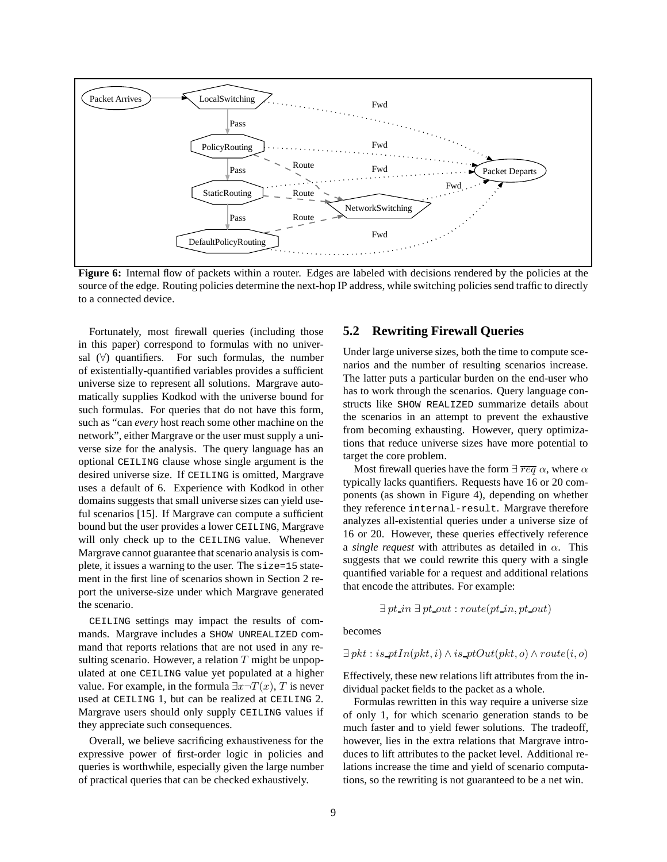

**Figure 6:** Internal flow of packets within a router. Edges are labeled with decisions rendered by the policies at the source of the edge. Routing policies determine the next-hop IP address, while switching policies send traffic to directly to a connected device.

Fortunately, most firewall queries (including those in this paper) correspond to formulas with no universal  $(\forall)$  quantifiers. For such formulas, the number of existentially-quantified variables provides a sufficient universe size to represent all solutions. Margrave automatically supplies Kodkod with the universe bound for such formulas. For queries that do not have this form, such as "can *every* host reach some other machine on the network", either Margrave or the user must supply a universe size for the analysis. The query language has an optional CEILING clause whose single argument is the desired universe size. If CEILING is omitted, Margrave uses a default of 6. Experience with Kodkod in other domains suggests that small universe sizes can yield useful scenarios [15]. If Margrave can compute a sufficient bound but the user provides a lower CEILING, Margrave will only check up to the CEILING value. Whenever Margrave cannot guarantee that scenario analysis is complete, it issues a warning to the user. The size=15 statement in the first line of scenarios shown in Section 2 report the universe-size under which Margrave generated the scenario.

CEILING settings may impact the results of commands. Margrave includes a SHOW UNREALIZED command that reports relations that are not used in any resulting scenario. However, a relation  $T$  might be unpopulated at one CEILING value yet populated at a higher value. For example, in the formula  $\exists x \neg T(x)$ , T is never used at CEILING 1, but can be realized at CEILING 2. Margrave users should only supply CEILING values if they appreciate such consequences.

Overall, we believe sacrificing exhaustiveness for the expressive power of first-order logic in policies and queries is worthwhile, especially given the large number of practical queries that can be checked exhaustively.

# **5.2 Rewriting Firewall Queries**

Under large universe sizes, both the time to compute scenarios and the number of resulting scenarios increase. The latter puts a particular burden on the end-user who has to work through the scenarios. Query language constructs like SHOW REALIZED summarize details about the scenarios in an attempt to prevent the exhaustive from becoming exhausting. However, query optimizations that reduce universe sizes have more potential to target the core problem.

Most firewall queries have the form  $\exists \overline{req} \alpha$ , where  $\alpha$ typically lacks quantifiers. Requests have 16 or 20 components (as shown in Figure 4), depending on whether they reference internal-result. Margrave therefore analyzes all-existential queries under a universe size of 16 or 20. However, these queries effectively reference a *single request* with attributes as detailed in  $\alpha$ . This suggests that we could rewrite this query with a single quantified variable for a request and additional relations that encode the attributes. For example:

$$
\exists pt\_in \exists pt\_out : route(pt\_in, pt\_out)
$$

becomes

$$
\exists\, pkt: is\_ptIn(pkt, i) \land is\_ptOut(pkt, o) \land route(i, o)
$$

Effectively, these new relations lift attributes from the individual packet fields to the packet as a whole.

Formulas rewritten in this way require a universe size of only 1, for which scenario generation stands to be much faster and to yield fewer solutions. The tradeoff, however, lies in the extra relations that Margrave introduces to lift attributes to the packet level. Additional relations increase the time and yield of scenario computations, so the rewriting is not guaranteed to be a net win.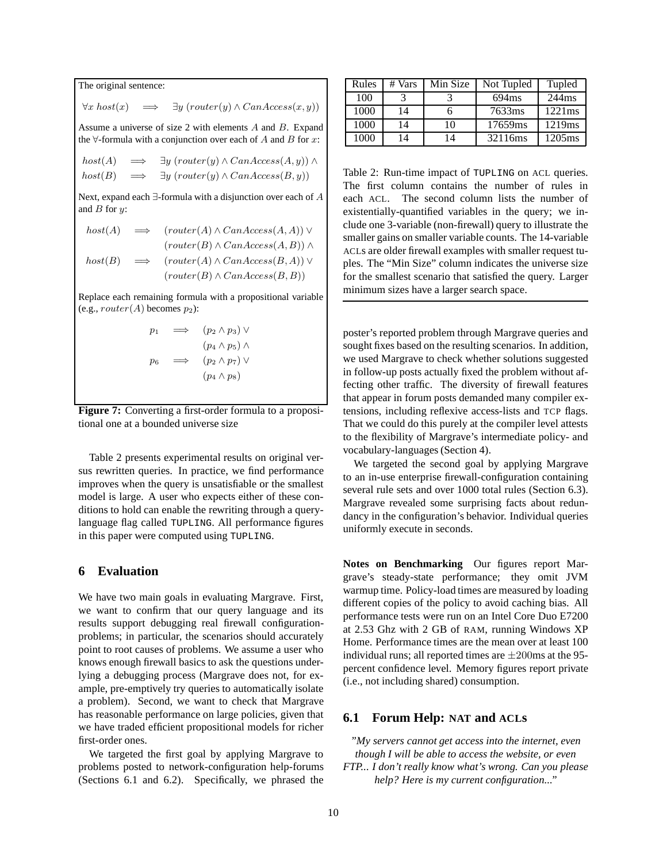The original sentence:  $\forall x \, host(x) \implies \exists y \, ( router(y) \land CanAccess(x, y))$ Assume a universe of size 2 with elements  $A$  and  $B$ . Expand the  $\forall$ -formula with a conjunction over each of A and B for x:  $host(A) \implies \exists y ( router(y) \land CanAccess(A, y)) \land$  $host(B) \implies \exists y ( router(y) \land CanAccess(B, y))$ Next, expand each ∃-formula with a disjunction over each of A and  $B$  for  $y$ :  $host(A) \implies ( router(A) \wedge CanAccess(A, A)) \vee$  $(rooter(B) \wedge CanAccess(A, B)) \wedge$ 

 $host(B) \implies (router(A) \wedge CanAccess(B, A)) \vee$  $(rooter(B) \wedge CanAccess(B,B))$ 

Replace each remaining formula with a propositional variable (e.g.,  $router(A)$  becomes  $p_2$ ):

$$
p_1 \implies (p_2 \land p_3) \lor (p_4 \land p_5) \land p_6 \implies (p_2 \land p_7) \lor (p_4 \land p_8)
$$



Table 2 presents experimental results on original versus rewritten queries. In practice, we find performance improves when the query is unsatisfiable or the smallest model is large. A user who expects either of these conditions to hold can enable the rewriting through a querylanguage flag called TUPLING. All performance figures in this paper were computed using TUPLING.

### **6 Evaluation**

We have two main goals in evaluating Margrave. First, we want to confirm that our query language and its results support debugging real firewall configurationproblems; in particular, the scenarios should accurately point to root causes of problems. We assume a user who knows enough firewall basics to ask the questions underlying a debugging process (Margrave does not, for example, pre-emptively try queries to automatically isolate a problem). Second, we want to check that Margrave has reasonable performance on large policies, given that we have traded efficient propositional models for richer first-order ones.

We targeted the first goal by applying Margrave to problems posted to network-configuration help-forums (Sections 6.1 and 6.2). Specifically, we phrased the

| Rules | # Vars | Min Size | Not Tupled | Tupled |
|-------|--------|----------|------------|--------|
| 100   |        |          | 694ms      | 244ms  |
| 1000  | 14     |          | 7633ms     | 1221ms |
| 1000  | 14     | 10       | 17659ms    | 1219ms |
| 1000  | 14     | 14       | 32116ms    | 1205ms |

Table 2: Run-time impact of TUPLING on ACL queries. The first column contains the number of rules in each ACL. The second column lists the number of existentially-quantified variables in the query; we include one 3-variable (non-firewall) query to illustrate the smaller gains on smaller variable counts. The 14-variable ACLs are older firewall examples with smaller request tuples. The "Min Size" column indicates the universe size for the smallest scenario that satisfied the query. Larger minimum sizes have a larger search space.

poster's reported problem through Margrave queries and sought fixes based on the resulting scenarios. In addition, we used Margrave to check whether solutions suggested in follow-up posts actually fixed the problem without affecting other traffic. The diversity of firewall features that appear in forum posts demanded many compiler extensions, including reflexive access-lists and TCP flags. That we could do this purely at the compiler level attests to the flexibility of Margrave's intermediate policy- and vocabulary-languages (Section 4).

We targeted the second goal by applying Margrave to an in-use enterprise firewall-configuration containing several rule sets and over 1000 total rules (Section 6.3). Margrave revealed some surprising facts about redundancy in the configuration's behavior. Individual queries uniformly execute in seconds.

**Notes on Benchmarking** Our figures report Margrave's steady-state performance; they omit JVM warmup time. Policy-load times are measured by loading different copies of the policy to avoid caching bias. All performance tests were run on an Intel Core Duo E7200 at 2.53 Ghz with 2 GB of RAM, running Windows XP Home. Performance times are the mean over at least 100 individual runs; all reported times are  $\pm 200$ ms at the 95percent confidence level. Memory figures report private (i.e., not including shared) consumption.

## **6.1 Forum Help: NAT and ACLs**

*"My servers cannot get access into the internet, even though I will be able to access the website, or even FTP... I don't really know what's wrong. Can you please help? Here is my current configuration..."*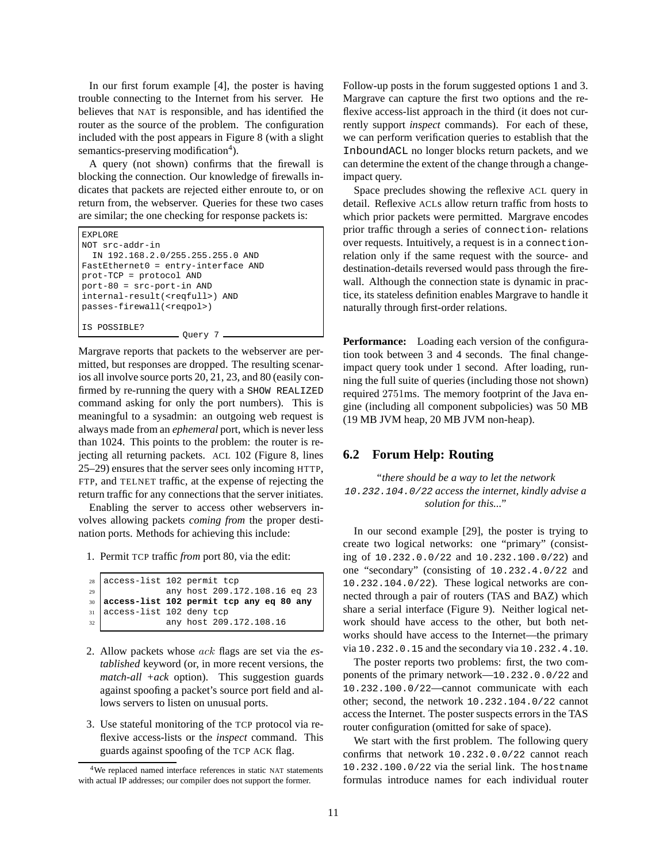In our first forum example [4], the poster is having trouble connecting to the Internet from his server. He believes that NAT is responsible, and has identified the router as the source of the problem. The configuration included with the post appears in Figure 8 (with a slight semantics-preserving modification<sup>4</sup>).

A query (not shown) confirms that the firewall is blocking the connection. Our knowledge of firewalls indicates that packets are rejected either enroute to, or on return from, the webserver. Queries for these two cases are similar; the one checking for response packets is:

```
EXPLORE
NOT src-addr-in
  IN 192.168.2.0/255.255.255.0 AND
FastEthernet0 = entry-interface AND
prot-TCP = protocol AND
port-80 = src-port-in AND
internal-result(<reqfull>) AND
passes-firewall(<reqpol>)
IS POSSIBLE?
                   Ouery 7 -
```
Margrave reports that packets to the webserver are permitted, but responses are dropped. The resulting scenarios all involve source ports 20, 21, 23, and 80 (easily confirmed by re-running the query with a SHOW REALIZED command asking for only the port numbers). This is meaningful to a sysadmin: an outgoing web request is always made from an *ephemeral* port, which is never less than 1024. This points to the problem: the router is rejecting all returning packets. ACL 102 (Figure 8, lines 25–29) ensures that the server sees only incoming HTTP, FTP, and TELNET traffic, at the expense of rejecting the return traffic for any connections that the server initiates.

Enabling the server to access other webservers involves allowing packets *coming from* the proper destination ports. Methods for achieving this include:

1. Permit TCP traffic *from* port 80, via the edit:

```
28 access-list 102 permit tcp
29 any host 209.172.108.16 eq 23
30 access-list 102 permit tcp any eq 80 any
31 access-list 102 deny tcp
32 any host 209.172.108.16
```
- 2. Allow packets whose ack flags are set via the *established* keyword (or, in more recent versions, the *match-all +ack* option). This suggestion guards against spoofing a packet's source port field and allows servers to listen on unusual ports.
- 3. Use stateful monitoring of the TCP protocol via reflexive access-lists or the *inspect* command. This guards against spoofing of the TCP ACK flag.

Follow-up posts in the forum suggested options 1 and 3. Margrave can capture the first two options and the reflexive access-list approach in the third (it does not currently support *inspect* commands). For each of these, we can perform verification queries to establish that the InboundACL no longer blocks return packets, and we can determine the extent of the change through a changeimpact query.

Space precludes showing the reflexive ACL query in detail. Reflexive ACLs allow return traffic from hosts to which prior packets were permitted. Margrave encodes prior traffic through a series of connection- relations over requests. Intuitively, a request is in a connectionrelation only if the same request with the source- and destination-details reversed would pass through the firewall. Although the connection state is dynamic in practice, its stateless definition enables Margrave to handle it naturally through first-order relations.

**Performance:** Loading each version of the configuration took between 3 and 4 seconds. The final changeimpact query took under 1 second. After loading, running the full suite of queries (including those not shown) required 2751ms. The memory footprint of the Java engine (including all component subpolicies) was 50 MB (19 MB JVM heap, 20 MB JVM non-heap).

# **6.2 Forum Help: Routing**

*"there should be a way to let the network* 10.232.104.0/22 *access the internet, kindly advise a solution for this..."*

In our second example [29], the poster is trying to create two logical networks: one "primary" (consisting of 10.232.0.0/22 and 10.232.100.0/22) and one "secondary" (consisting of 10.232.4.0/22 and 10.232.104.0/22). These logical networks are connected through a pair of routers (TAS and BAZ) which share a serial interface (Figure 9). Neither logical network should have access to the other, but both networks should have access to the Internet—the primary via 10.232.0.15 and the secondary via 10.232.4.10.

The poster reports two problems: first, the two components of the primary network—10.232.0.0/22 and 10.232.100.0/22—cannot communicate with each other; second, the network 10.232.104.0/22 cannot access the Internet. The poster suspects errors in the TAS router configuration (omitted for sake of space).

We start with the first problem. The following query confirms that network 10.232.0.0/22 cannot reach 10.232.100.0/22 via the serial link. The hostname formulas introduce names for each individual router

<sup>4</sup>We replaced named interface references in static NAT statements with actual IP addresses; our compiler does not support the former.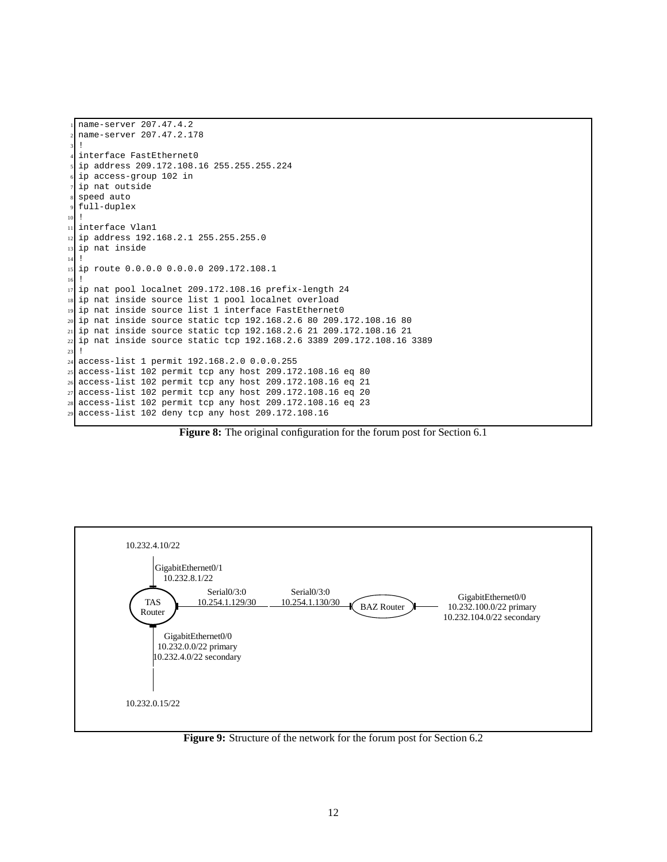```
name-server 207.47.4.2
  2 name-server 207.47.2.178
  \overline{1}interface FastEthernet0
  5 ip address 209.172.108.16 255.255.255.224
  6 ip access-group 102 in
  ip nat outside
  speed auto
  full-duplex
10 !
11 interface Vlan1
12 ip address 192.168.2.1 255.255.255.0
13 ip nat inside
14 !
15 ip route 0.0.0.0 0.0.0.0 209.172.108.1
16 !
17 ip nat pool localnet 209.172.108.16 prefix-length 24
18 ip nat inside source list 1 pool localnet overload
19 ip nat inside source list 1 interface FastEthernet0
20 ip nat inside source static tcp 192.168.2.6 80 209.172.108.16 80
21 ip nat inside source static tcp 192.168.2.6 21 209.172.108.16 21
22 ip nat inside source static tcp 192.168.2.6 3389 209.172.108.16 3389
23 !
24 access-list 1 permit 192.168.2.0 0.0.0.255
25 access-list 102 permit tcp any host 209.172.108.16 eq 80
26 access-list 102 permit tcp any host 209.172.108.16 eq 21
27 access-list 102 permit tcp any host 209.172.108.16 eq 20
28 access-list 102 permit tcp any host 209.172.108.16 eq 23
29 access-list 102 deny tcp any host 209.172.108.16
```
**Figure 8:** The original configuration for the forum post for Section 6.1



**Figure 9:** Structure of the network for the forum post for Section 6.2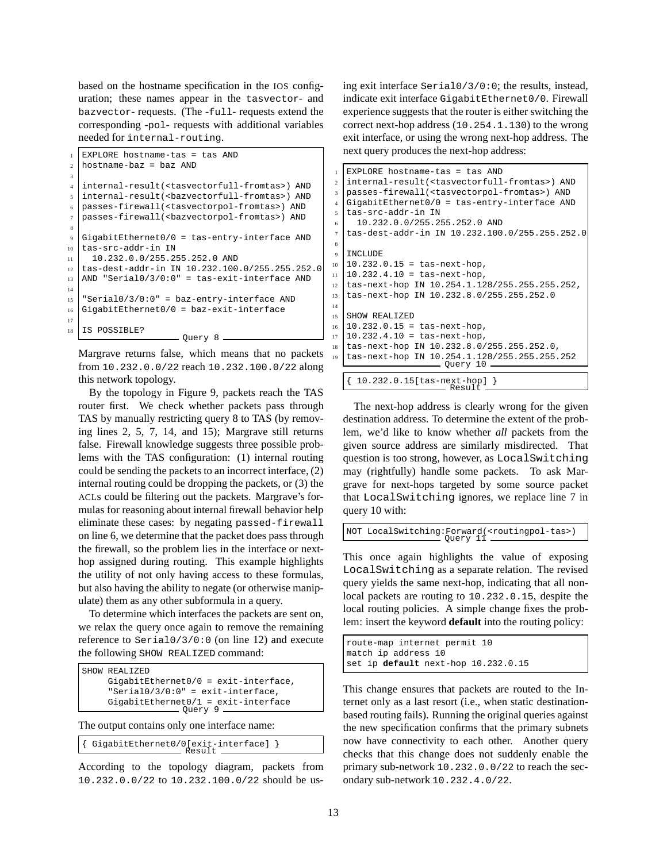based on the hostname specification in the IOS configuration; these names appear in the tasvector- and bazvector- requests. (The -full- requests extend the corresponding -pol- requests with additional variables needed for internal-routing.

```
EXPLORE hostname-tas = tas AND
2 hostname-baz = baz AND
3
   4 internal-result(<tasvectorfull-fromtas>) AND
  5 internal-result(<bazvectorfull-fromtas>) AND
6 passes-firewall(<tasvectorpol-fromtas>) AND
   7 passes-firewall(<bazvectorpol-fromtas>) AND
8
  GigabitEthernet0/0 = tas-entry-interface AND10 tas-src-addr-in IN
11 10.232.0.0/255.255.252.0 AND
12 tas-dest-addr-in IN 10.232.100.0/255.255.252.0
13 AND "Serial0/3/0:0" = tas-exit-interface AND
14
15 "Serial0/3/0:0" = baz-entry-interface AND
16 GigabitEthernet0/0 = baz-exit-interface
17
18 IS POSSIBLE?
                     - Query 8 -
```
Margrave returns false, which means that no packets from 10.232.0.0/22 reach 10.232.100.0/22 along this network topology.

By the topology in Figure 9, packets reach the TAS router first. We check whether packets pass through TAS by manually restricting query 8 to TAS (by removing lines 2, 5, 7, 14, and 15); Margrave still returns false. Firewall knowledge suggests three possible problems with the TAS configuration: (1) internal routing could be sending the packets to an incorrect interface, (2) internal routing could be dropping the packets, or (3) the ACLs could be filtering out the packets. Margrave's formulas for reasoning about internal firewall behavior help eliminate these cases: by negating passed-firewall on line 6, we determine that the packet does pass through the firewall, so the problem lies in the interface or nexthop assigned during routing. This example highlights the utility of not only having access to these formulas, but also having the ability to negate (or otherwise manipulate) them as any other subformula in a query.

To determine which interfaces the packets are sent on, we relax the query once again to remove the remaining reference to Serial0/3/0:0 (on line 12) and execute the following SHOW REALIZED command:

```
SHOW REALIZED
     GigabitEthernet0/0 = exit-interface,
     "Serial0/3/0:0" = exit-interface,
     GigabitEthernet0/1 = exit-interface<br>
Query 9
```
The output contains only one interface name:

{ GigabitEthernet0/0[exit-interface] } Result

According to the topology diagram, packets from 10.232.0.0/22 to 10.232.100.0/22 should be using exit interface Serial0/3/0:0; the results, instead, indicate exit interface GigabitEthernet0/0. Firewall experience suggests that the router is either switching the correct next-hop address (10.254.1.130) to the wrong exit interface, or using the wrong next-hop address. The next query produces the next-hop address:

```
EXPLORE hostname-tas = tas AND
2 internal-result(<tasvectorfull-fromtas>) AND
3 passes-firewall(<tasvectorpol-fromtas>) AND
4 \text{ GiqabitEthernet0/0} = \text{tas-entry-interface AND}5 tas-src-addr-in IN
6 10.232.0.0/255.255.252.0 AND
7 tas-dest-addr-in IN 10.232.100.0/255.255.252.0
9 INCLUDE
10 10.232.0.15 = tas-next-hop,
11 10.232.4.10 = tas-next-hop,
12 tas-next-hop IN 10.254.1.128/255.255.255.252,
13 tas-next-hop IN 10.232.8.0/255.255.252.0
14
15 SHOW REALIZED
16 10.232.0.15 = tas-next-hop,
17 10.232.4.10 = tas-next-hop,
   18 tas-next-hop IN 10.232.8.0/255.255.252.0,
19 tas-next-hop IN 10.254.1.128/255.255.255.252
Query 10
   { 10.232.0.15[tas-next-hop] }
Result
```
The next-hop address is clearly wrong for the given destination address. To determine the extent of the problem, we'd like to know whether *all* packets from the given source address are similarly misdirected. That question is too strong, however, as LocalSwitching may (rightfully) handle some packets. To ask Margrave for next-hops targeted by some source packet that LocalSwitching ignores, we replace line 7 in query 10 with:

NOT LocalSwitching:Forward(<routingpol-tas>) Query 11

This once again highlights the value of exposing LocalSwitching as a separate relation. The revised query yields the same next-hop, indicating that all nonlocal packets are routing to 10.232.0.15, despite the local routing policies. A simple change fixes the problem: insert the keyword **default** into the routing policy:

```
route-map internet permit 10
match ip address 10
set ip default next-hop 10.232.0.15
```
This change ensures that packets are routed to the Internet only as a last resort (i.e., when static destinationbased routing fails). Running the original queries against the new specification confirms that the primary subnets now have connectivity to each other. Another query checks that this change does not suddenly enable the primary sub-network 10.232.0.0/22 to reach the secondary sub-network 10.232.4.0/22.

8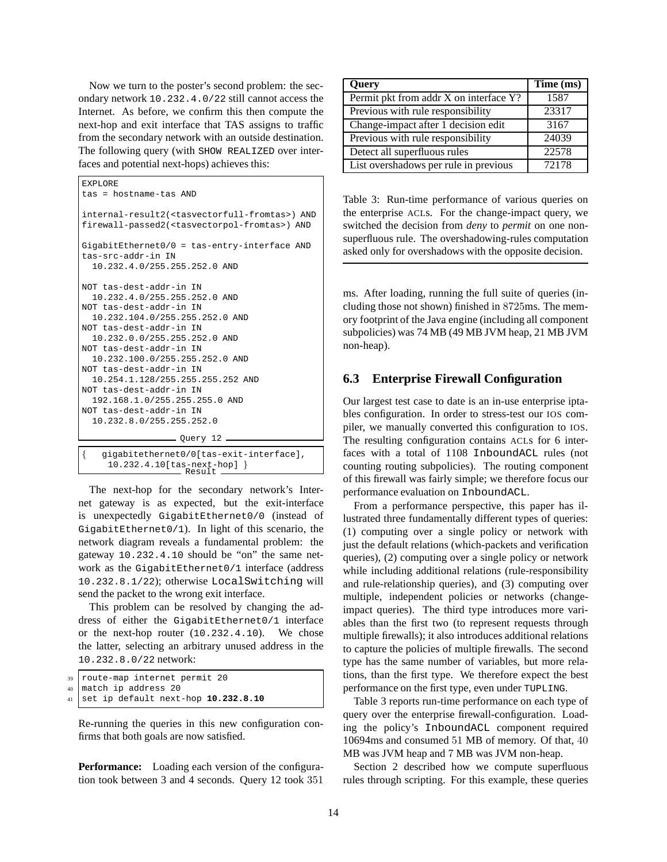Now we turn to the poster's second problem: the secondary network 10.232.4.0/22 still cannot access the Internet. As before, we confirm this then compute the next-hop and exit interface that TAS assigns to traffic from the secondary network with an outside destination. The following query (with SHOW REALIZED over interfaces and potential next-hops) achieves this:

```
EXPLORE
tas = hostname-tas AND
internal-result2(<tasvectorfull-fromtas>) AND
firewall-passed2(<tasvectorpol-fromtas>) AND
GigabitEthernet0/0 = tas-entry-interface AND
tas-src-addr-in IN
  10.232.4.0/255.255.252.0 AND
NOT tas-dest-addr-in IN
 10.232.4.0/255.255.252.0 AND
NOT tas-dest-addr-in IN
 10.232.104.0/255.255.252.0 AND
NOT tas-dest-addr-in IN
  10.232.0.0/255.255.252.0 AND
NOT tas-dest-addr-in IN
 10.232.100.0/255.255.252.0 AND
NOT tas-dest-addr-in IN
 10.254.1.128/255.255.255.252 AND
NOT tas-dest-addr-in IN
 192.168.1.0/255.255.255.0 AND
NOT tas-dest-addr-in IN
  10.232.8.0/255.255.252.0
                   Query 12
    { gigabitethernet0/0[tas-exit-interface],
```
10.232.4.10[tas-next-hop] } Result

The next-hop for the secondary network's Internet gateway is as expected, but the exit-interface is unexpectedly GigabitEthernet0/0 (instead of GigabitEthernet0/1). In light of this scenario, the network diagram reveals a fundamental problem: the gateway 10.232.4.10 should be "on" the same network as the GigabitEthernet0/1 interface (address 10.232.8.1/22); otherwise LocalSwitching will send the packet to the wrong exit interface.

This problem can be resolved by changing the address of either the GigabitEthernet0/1 interface or the next-hop router (10.232.4.10). We chose the latter, selecting an arbitrary unused address in the 10.232.8.0/22 network:

| 39 route-map internet permit 20          |
|------------------------------------------|
| 40 match ip address 20                   |
| 41 set ip default next-hop $10.232.8.10$ |

Re-running the queries in this new configuration confirms that both goals are now satisfied.

**Performance:** Loading each version of the configuration took between 3 and 4 seconds. Query 12 took 351

| Query                                  | Time (ms) |
|----------------------------------------|-----------|
| Permit pkt from addr X on interface Y? | 1587      |
| Previous with rule responsibility      | 23317     |
| Change-impact after 1 decision edit    | 3167      |
| Previous with rule responsibility      | 24039     |
| Detect all superfluous rules           | 22578     |
| List overshadows per rule in previous  | 72178     |

Table 3: Run-time performance of various queries on the enterprise ACLs. For the change-impact query, we switched the decision from *deny* to *permit* on one nonsuperfluous rule. The overshadowing-rules computation asked only for overshadows with the opposite decision.

ms. After loading, running the full suite of queries (including those not shown) finished in 8725ms. The memory footprint of the Java engine (including all component subpolicies) was 74 MB (49 MB JVM heap, 21 MB JVM non-heap).

### **6.3 Enterprise Firewall Configuration**

Our largest test case to date is an in-use enterprise iptables configuration. In order to stress-test our IOS compiler, we manually converted this configuration to IOS. The resulting configuration contains ACLs for 6 interfaces with a total of 1108 InboundACL rules (not counting routing subpolicies). The routing component of this firewall was fairly simple; we therefore focus our performance evaluation on InboundACL.

From a performance perspective, this paper has illustrated three fundamentally different types of queries: (1) computing over a single policy or network with just the default relations (which-packets and verification queries), (2) computing over a single policy or network while including additional relations (rule-responsibility and rule-relationship queries), and (3) computing over multiple, independent policies or networks (changeimpact queries). The third type introduces more variables than the first two (to represent requests through multiple firewalls); it also introduces additional relations to capture the policies of multiple firewalls. The second type has the same number of variables, but more relations, than the first type. We therefore expect the best performance on the first type, even under TUPLING.

Table 3 reports run-time performance on each type of query over the enterprise firewall-configuration. Loading the policy's InboundACL component required 10694ms and consumed 51 MB of memory. Of that, 40 MB was JVM heap and 7 MB was JVM non-heap.

Section 2 described how we compute superfluous rules through scripting. For this example, these queries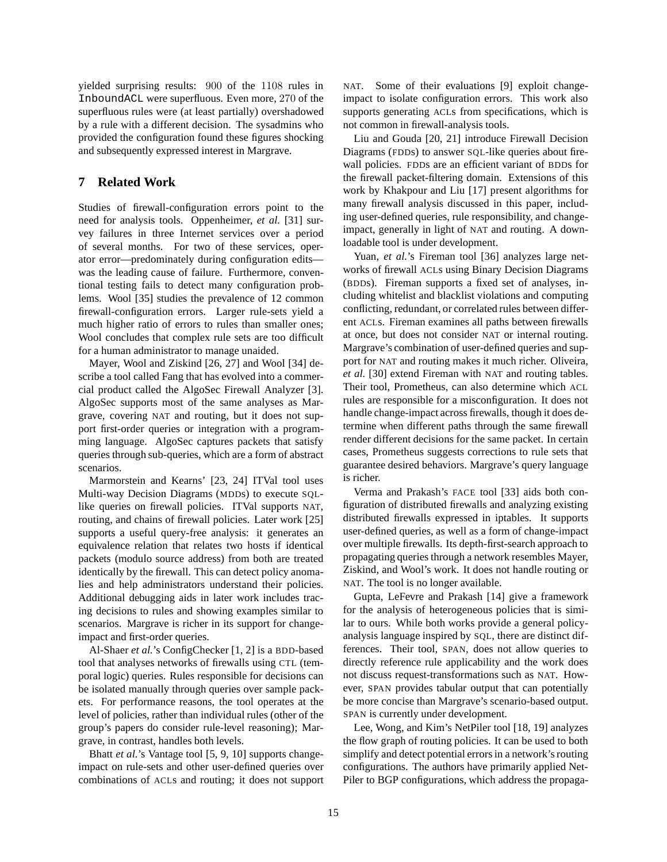yielded surprising results: 900 of the 1108 rules in InboundACL were superfluous. Even more, 270 of the superfluous rules were (at least partially) overshadowed by a rule with a different decision. The sysadmins who provided the configuration found these figures shocking and subsequently expressed interest in Margrave.

## **7 Related Work**

Studies of firewall-configuration errors point to the need for analysis tools. Oppenheimer, *et al.* [31] survey failures in three Internet services over a period of several months. For two of these services, operator error—predominately during configuration edits was the leading cause of failure. Furthermore, conventional testing fails to detect many configuration problems. Wool [35] studies the prevalence of 12 common firewall-configuration errors. Larger rule-sets yield a much higher ratio of errors to rules than smaller ones; Wool concludes that complex rule sets are too difficult for a human administrator to manage unaided.

Mayer, Wool and Ziskind [26, 27] and Wool [34] describe a tool called Fang that has evolved into a commercial product called the AlgoSec Firewall Analyzer [3]. AlgoSec supports most of the same analyses as Margrave, covering NAT and routing, but it does not support first-order queries or integration with a programming language. AlgoSec captures packets that satisfy queries through sub-queries, which are a form of abstract scenarios.

Marmorstein and Kearns' [23, 24] ITVal tool uses Multi-way Decision Diagrams (MDDs) to execute SQLlike queries on firewall policies. ITVal supports NAT, routing, and chains of firewall policies. Later work [25] supports a useful query-free analysis: it generates an equivalence relation that relates two hosts if identical packets (modulo source address) from both are treated identically by the firewall. This can detect policy anomalies and help administrators understand their policies. Additional debugging aids in later work includes tracing decisions to rules and showing examples similar to scenarios. Margrave is richer in its support for changeimpact and first-order queries.

Al-Shaer *et al.*'s ConfigChecker [1, 2] is a BDD-based tool that analyses networks of firewalls using CTL (temporal logic) queries. Rules responsible for decisions can be isolated manually through queries over sample packets. For performance reasons, the tool operates at the level of policies, rather than individual rules (other of the group's papers do consider rule-level reasoning); Margrave, in contrast, handles both levels.

Bhatt *et al.*'s Vantage tool [5, 9, 10] supports changeimpact on rule-sets and other user-defined queries over combinations of ACLs and routing; it does not support NAT. Some of their evaluations [9] exploit changeimpact to isolate configuration errors. This work also supports generating ACLs from specifications, which is not common in firewall-analysis tools.

Liu and Gouda [20, 21] introduce Firewall Decision Diagrams (FDDs) to answer SQL-like queries about firewall policies. FDDs are an efficient variant of BDDs for the firewall packet-filtering domain. Extensions of this work by Khakpour and Liu [17] present algorithms for many firewall analysis discussed in this paper, including user-defined queries, rule responsibility, and changeimpact, generally in light of NAT and routing. A downloadable tool is under development.

Yuan, *et al.*'s Fireman tool [36] analyzes large networks of firewall ACLs using Binary Decision Diagrams (BDDs). Fireman supports a fixed set of analyses, including whitelist and blacklist violations and computing conflicting, redundant, or correlated rules between different ACLs. Fireman examines all paths between firewalls at once, but does not consider NAT or internal routing. Margrave's combination of user-defined queries and support for NAT and routing makes it much richer. Oliveira, *et al.* [30] extend Fireman with NAT and routing tables. Their tool, Prometheus, can also determine which ACL rules are responsible for a misconfiguration. It does not handle change-impact across firewalls, though it does determine when different paths through the same firewall render different decisions for the same packet. In certain cases, Prometheus suggests corrections to rule sets that guarantee desired behaviors. Margrave's query language is richer.

Verma and Prakash's FACE tool [33] aids both configuration of distributed firewalls and analyzing existing distributed firewalls expressed in iptables. It supports user-defined queries, as well as a form of change-impact over multiple firewalls. Its depth-first-search approach to propagating queries through a network resembles Mayer, Ziskind, and Wool's work. It does not handle routing or NAT. The tool is no longer available.

Gupta, LeFevre and Prakash [14] give a framework for the analysis of heterogeneous policies that is similar to ours. While both works provide a general policyanalysis language inspired by SQL, there are distinct differences. Their tool, SPAN, does not allow queries to directly reference rule applicability and the work does not discuss request-transformations such as NAT. However, SPAN provides tabular output that can potentially be more concise than Margrave's scenario-based output. SPAN is currently under development.

Lee, Wong, and Kim's NetPiler tool [18, 19] analyzes the flow graph of routing policies. It can be used to both simplify and detect potential errors in a network's routing configurations. The authors have primarily applied Net-Piler to BGP configurations, which address the propaga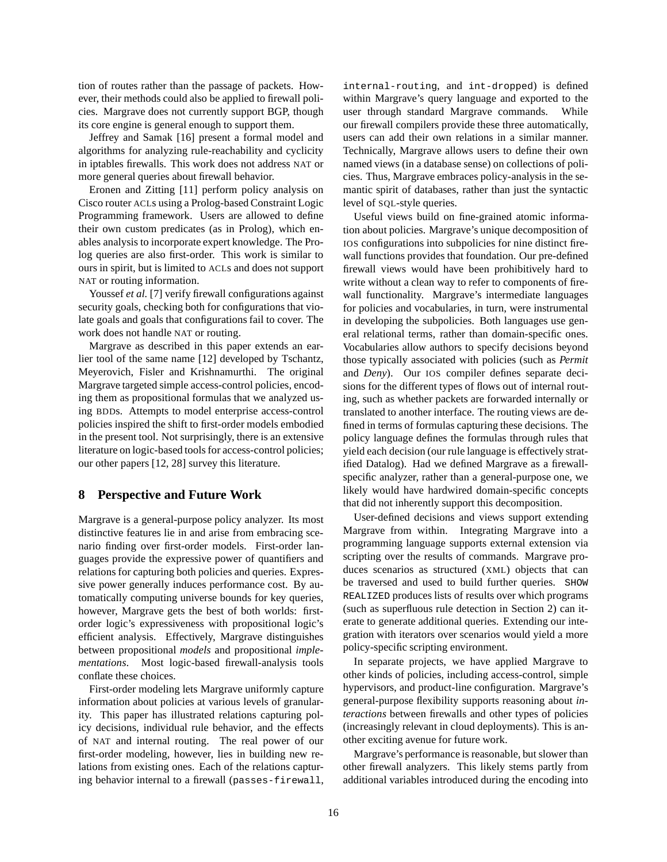tion of routes rather than the passage of packets. However, their methods could also be applied to firewall policies. Margrave does not currently support BGP, though its core engine is general enough to support them.

Jeffrey and Samak [16] present a formal model and algorithms for analyzing rule-reachability and cyclicity in iptables firewalls. This work does not address NAT or more general queries about firewall behavior.

Eronen and Zitting [11] perform policy analysis on Cisco router ACLs using a Prolog-based Constraint Logic Programming framework. Users are allowed to define their own custom predicates (as in Prolog), which enables analysis to incorporate expert knowledge. The Prolog queries are also first-order. This work is similar to ours in spirit, but is limited to ACLs and does not support NAT or routing information.

Youssef *et al.* [7] verify firewall configurations against security goals, checking both for configurations that violate goals and goals that configurations fail to cover. The work does not handle NAT or routing.

Margrave as described in this paper extends an earlier tool of the same name [12] developed by Tschantz, Meyerovich, Fisler and Krishnamurthi. The original Margrave targeted simple access-control policies, encoding them as propositional formulas that we analyzed using BDDs. Attempts to model enterprise access-control policies inspired the shift to first-order models embodied in the present tool. Not surprisingly, there is an extensive literature on logic-based tools for access-control policies; our other papers [12, 28] survey this literature.

#### **8 Perspective and Future Work**

Margrave is a general-purpose policy analyzer. Its most distinctive features lie in and arise from embracing scenario finding over first-order models. First-order languages provide the expressive power of quantifiers and relations for capturing both policies and queries. Expressive power generally induces performance cost. By automatically computing universe bounds for key queries, however, Margrave gets the best of both worlds: firstorder logic's expressiveness with propositional logic's efficient analysis. Effectively, Margrave distinguishes between propositional *models* and propositional *implementations*. Most logic-based firewall-analysis tools conflate these choices.

First-order modeling lets Margrave uniformly capture information about policies at various levels of granularity. This paper has illustrated relations capturing policy decisions, individual rule behavior, and the effects of NAT and internal routing. The real power of our first-order modeling, however, lies in building new relations from existing ones. Each of the relations capturing behavior internal to a firewall (passes-firewall,

internal-routing, and int-dropped) is defined within Margrave's query language and exported to the user through standard Margrave commands. While our firewall compilers provide these three automatically, users can add their own relations in a similar manner. Technically, Margrave allows users to define their own named views (in a database sense) on collections of policies. Thus, Margrave embraces policy-analysis in the semantic spirit of databases, rather than just the syntactic level of SQL-style queries.

Useful views build on fine-grained atomic information about policies. Margrave's unique decomposition of IOS configurations into subpolicies for nine distinct firewall functions provides that foundation. Our pre-defined firewall views would have been prohibitively hard to write without a clean way to refer to components of firewall functionality. Margrave's intermediate languages for policies and vocabularies, in turn, were instrumental in developing the subpolicies. Both languages use general relational terms, rather than domain-specific ones. Vocabularies allow authors to specify decisions beyond those typically associated with policies (such as *Permit* and *Deny*). Our IOS compiler defines separate decisions for the different types of flows out of internal routing, such as whether packets are forwarded internally or translated to another interface. The routing views are defined in terms of formulas capturing these decisions. The policy language defines the formulas through rules that yield each decision (our rule language is effectively stratified Datalog). Had we defined Margrave as a firewallspecific analyzer, rather than a general-purpose one, we likely would have hardwired domain-specific concepts that did not inherently support this decomposition.

User-defined decisions and views support extending Margrave from within. Integrating Margrave into a programming language supports external extension via scripting over the results of commands. Margrave produces scenarios as structured (XML) objects that can be traversed and used to build further queries. SHOW REALIZED produces lists of results over which programs (such as superfluous rule detection in Section 2) can iterate to generate additional queries. Extending our integration with iterators over scenarios would yield a more policy-specific scripting environment.

In separate projects, we have applied Margrave to other kinds of policies, including access-control, simple hypervisors, and product-line configuration. Margrave's general-purpose flexibility supports reasoning about *interactions* between firewalls and other types of policies (increasingly relevant in cloud deployments). This is another exciting avenue for future work.

Margrave's performance is reasonable, but slower than other firewall analyzers. This likely stems partly from additional variables introduced during the encoding into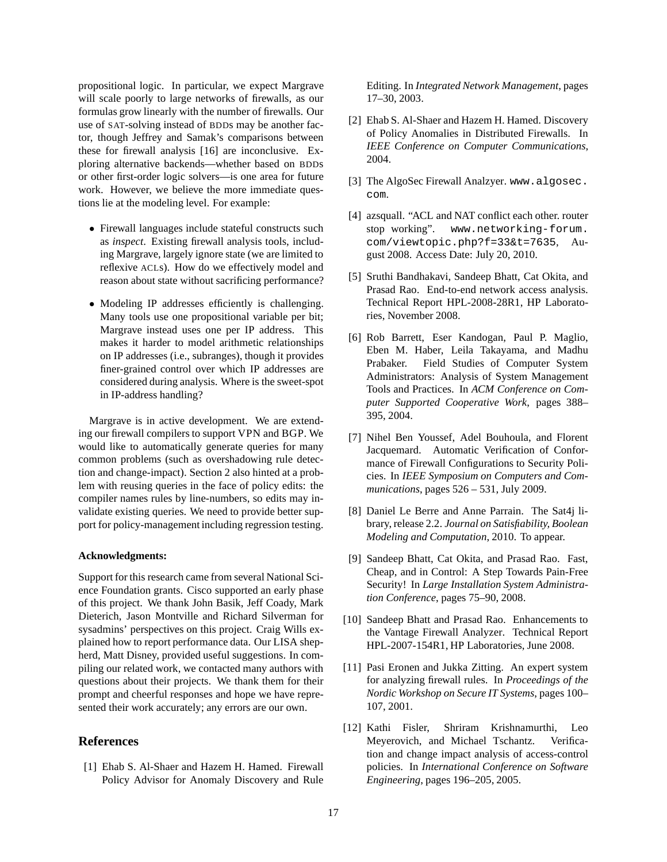propositional logic. In particular, we expect Margrave will scale poorly to large networks of firewalls, as our formulas grow linearly with the number of firewalls. Our use of SAT-solving instead of BDDs may be another factor, though Jeffrey and Samak's comparisons between these for firewall analysis [16] are inconclusive. Exploring alternative backends—whether based on BDDs or other first-order logic solvers—is one area for future work. However, we believe the more immediate questions lie at the modeling level. For example:

- Firewall languages include stateful constructs such as *inspect*. Existing firewall analysis tools, including Margrave, largely ignore state (we are limited to reflexive ACLs). How do we effectively model and reason about state without sacrificing performance?
- Modeling IP addresses efficiently is challenging. Many tools use one propositional variable per bit; Margrave instead uses one per IP address. This makes it harder to model arithmetic relationships on IP addresses (i.e., subranges), though it provides finer-grained control over which IP addresses are considered during analysis. Where is the sweet-spot in IP-address handling?

Margrave is in active development. We are extending our firewall compilers to support VPN and BGP. We would like to automatically generate queries for many common problems (such as overshadowing rule detection and change-impact). Section 2 also hinted at a problem with reusing queries in the face of policy edits: the compiler names rules by line-numbers, so edits may invalidate existing queries. We need to provide better support for policy-management including regression testing.

#### **Acknowledgments:**

Support for this research came from several National Science Foundation grants. Cisco supported an early phase of this project. We thank John Basik, Jeff Coady, Mark Dieterich, Jason Montville and Richard Silverman for sysadmins' perspectives on this project. Craig Wills explained how to report performance data. Our LISA shepherd, Matt Disney, provided useful suggestions. In compiling our related work, we contacted many authors with questions about their projects. We thank them for their prompt and cheerful responses and hope we have represented their work accurately; any errors are our own.

### **References**

[1] Ehab S. Al-Shaer and Hazem H. Hamed. Firewall Policy Advisor for Anomaly Discovery and Rule Editing. In *Integrated Network Management*, pages 17–30, 2003.

- [2] Ehab S. Al-Shaer and Hazem H. Hamed. Discovery of Policy Anomalies in Distributed Firewalls. In *IEEE Conference on Computer Communications*, 2004.
- [3] The AlgoSec Firewall Analzyer. www.algosec. com.
- [4] azsquall. "ACL and NAT conflict each other. router stop working". www.networking-forum. com/viewtopic.php?f=33&t=7635, August 2008. Access Date: July 20, 2010.
- [5] Sruthi Bandhakavi, Sandeep Bhatt, Cat Okita, and Prasad Rao. End-to-end network access analysis. Technical Report HPL-2008-28R1, HP Laboratories, November 2008.
- [6] Rob Barrett, Eser Kandogan, Paul P. Maglio, Eben M. Haber, Leila Takayama, and Madhu Prabaker. Field Studies of Computer System Administrators: Analysis of System Management Tools and Practices. In *ACM Conference on Computer Supported Cooperative Work*, pages 388– 395, 2004.
- [7] Nihel Ben Youssef, Adel Bouhoula, and Florent Jacquemard. Automatic Verification of Conformance of Firewall Configurations to Security Policies. In *IEEE Symposium on Computers and Communications*, pages 526 – 531, July 2009.
- [8] Daniel Le Berre and Anne Parrain. The Sat4j library, release 2.2. *Journal on Satisfiability, Boolean Modeling and Computation*, 2010. To appear.
- [9] Sandeep Bhatt, Cat Okita, and Prasad Rao. Fast, Cheap, and in Control: A Step Towards Pain-Free Security! In *Large Installation System Administration Conference*, pages 75–90, 2008.
- [10] Sandeep Bhatt and Prasad Rao. Enhancements to the Vantage Firewall Analyzer. Technical Report HPL-2007-154R1, HP Laboratories, June 2008.
- [11] Pasi Eronen and Jukka Zitting. An expert system for analyzing firewall rules. In *Proceedings of the Nordic Workshop on Secure IT Systems*, pages 100– 107, 2001.
- [12] Kathi Fisler, Shriram Krishnamurthi, Leo Meyerovich, and Michael Tschantz. Verification and change impact analysis of access-control policies. In *International Conference on Software Engineering*, pages 196–205, 2005.